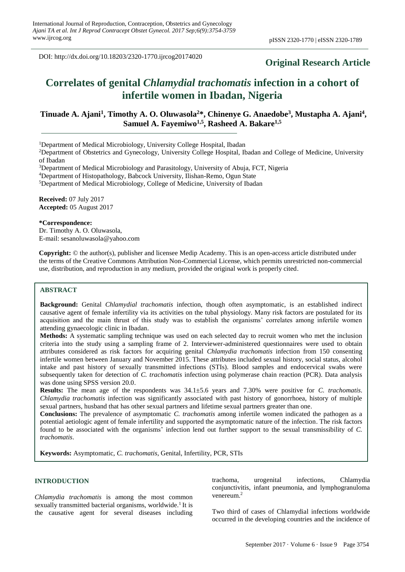DOI: http://dx.doi.org/10.18203/2320-1770.ijrcog20174020

# **Original Research Article**

# **Correlates of genital** *Chlamydial trachomatis* **infection in a cohort of infertile women in Ibadan, Nigeria**

# **Tinuade A. Ajani<sup>1</sup> , Timothy A. O. Oluwasola<sup>2</sup>\*, Chinenye G. Anaedobe<sup>3</sup> , Mustapha A. Ajani<sup>4</sup> , Samuel A. Fayemiwo1,5 , Rasheed A. Bakare1,5**

<sup>1</sup>Department of Medical Microbiology, University College Hospital, Ibadan

<sup>2</sup>Department of Obstetrics and Gynecology, University College Hospital, Ibadan and College of Medicine, University of Ibadan

<sup>3</sup>Department of Medical Microbiology and Parasitology, University of Abuja, FCT, Nigeria

<sup>4</sup>Department of Histopathology, Babcock University, Ilishan-Remo, Ogun State

<sup>5</sup>Department of Medical Microbiology, College of Medicine, University of Ibadan

**Received:** 07 July 2017 **Accepted:** 05 August 2017

#### **\*Correspondence:**

Dr. Timothy A. O. Oluwasola, E-mail: sesanoluwasola@yahoo.com

**Copyright:** © the author(s), publisher and licensee Medip Academy. This is an open-access article distributed under the terms of the Creative Commons Attribution Non-Commercial License, which permits unrestricted non-commercial use, distribution, and reproduction in any medium, provided the original work is properly cited.

# **ABSTRACT**

**Background:** Genital *Chlamydial trachomatis* infection, though often asymptomatic, is an established indirect causative agent of female infertility via its activities on the tubal physiology. Many risk factors are postulated for its acquisition and the main thrust of this study was to establish the organisms' correlates among infertile women attending gynaecologic clinic in Ibadan.

**Methods:** A systematic sampling technique was used on each selected day to recruit women who met the inclusion criteria into the study using a sampling frame of 2. Interviewer-administered questionnaires were used to obtain attributes considered as risk factors for acquiring genital *Chlamydia trachomatis* infection from 150 consenting infertile women between January and November 2015. These attributes included sexual history, social status, alcohol intake and past history of sexually transmitted infections (STIs). Blood samples and endocervical swabs were subsequently taken for detection of *C. trachomatis* infection using polymerase chain reaction (PCR). Data analysis was done using SPSS version 20.0.

**Results:** The mean age of the respondents was 34.1±5.6 years and 7.30% were positive for *C. trachomatis*. *Chlamydia trachomatis* infection was significantly associated with past history of gonorrhoea, history of multiple sexual partners, husband that has other sexual partners and lifetime sexual partners greater than one.

**Conclusions:** The prevalence of asymptomatic *C. trachomatis* among infertile women indicated the pathogen as a potential aetiologic agent of female infertility and supported the asymptomatic nature of the infection. The risk factors found to be associated with the organisms' infection lend out further support to the sexual transmissibility of *C. trachomatis*.

**Keywords:** Asymptomatic, *C. trachomatis*, Genital, Infertility, PCR, STIs

# **INTRODUCTION**

*Chlamydia trachomatis* is among the most common sexually transmitted bacterial organisms, worldwide.<sup>1</sup> It is the causative agent for several diseases including trachoma, urogenital infections, Chlamydia conjunctivitis, infant pneumonia, and lymphogranuloma venereum.<sup>2</sup>

Two third of cases of Chlamydial infections worldwide occurred in the developing countries and the incidence of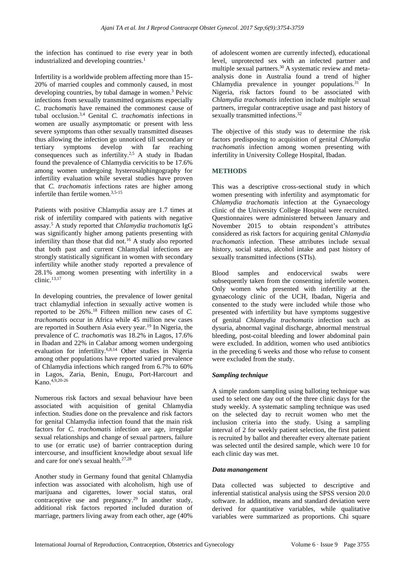the infection has continued to rise every year in both industrialized and developing countries.<sup>1</sup>

Infertility is a worldwide problem affecting more than 15- 20% of married couples and commonly caused, in most developing countries, by tubal damage in women. <sup>3</sup> Pelvic infections from sexually transmitted organisms especially *C. trachomatis* have remained the commonest cause of tubal occlusion. 3,4 Genital *C. trachomatis* infections in women are usually asymptomatic or present with less severe symptoms than other sexually transmitted diseases thus allowing the infection go unnoticed till secondary or tertiary symptoms develop with far reaching consequences such as infertility.<sup>2,5</sup> A study in Ibadan found the prevalence of Chlamydia cervicitis to be 17.6% among women undergoing hysterosalphingography for infertility evaluation while several studies have proven that *C. trachomatis* infections rates are higher among infertile than fertile women.<sup>3,5-15</sup>

Patients with positive Chlamydia assay are 1.7 times at risk of infertility compared with patients with negative assay. <sup>5</sup> A study reported that *Chlamydia trachomatis* IgG was significantly higher among patients presenting with infertility than those that did not.<sup>16</sup> A study also reported that both past and current Chlamydial infections are strongly statistically significant in women with secondary infertility while another study reported a prevalence of 28.1% among women presenting with infertility in a clinic. 13,17

In developing countries, the prevalence of lower genital tract chlamydial infection in sexually active women is reported to be 26%. <sup>18</sup> Fifteen million new cases of *C. trachomatis* occur in Africa while 45 million new cases are reported in Southern Asia every year.<sup>19</sup> In Nigeria, the prevalence of *C. trachomatis* was 18.2% in Lagos, 17.6% in Ibadan and 22% in Calabar among women undergoing evaluation for infertility.6,8,14 Other studies in Nigeria among other populations have reported varied prevalence of Chlamydia infections which ranged from 6.7% to 60% in Lagos, Zaria, Benin, Enugu, Port-Harcourt and Kano. 4,9,20-26

Numerous risk factors and sexual behaviour have been associated with acquisition of genital Chlamydia infection. Studies done on the prevalence and risk factors for genital Chlamydia infection found that the main risk factors for *C. trachomatis* infection are age, irregular sexual relationships and change of sexual partners, failure to use (or erratic use) of barrier contraception during intercourse, and insufficient knowledge about sexual life and care for one's sexual health.27,28

Another study in Germany found that genital Chlamydia infection was associated with alcoholism, high use of marijuana and cigarettes, lower social status, oral contraceptive use and pregnancy.<sup>29</sup> In another study, additional risk factors reported included duration of marriage, partners living away from each other, age (40%

of adolescent women are currently infected), educational level, unprotected sex with an infected partner and multiple sexual partners.<sup>30</sup> A systematic review and metaanalysis done in Australia found a trend of higher Chlamydia prevalence in younger populations. <sup>31</sup> In Nigeria, risk factors found to be associated with *Chlamydia trachomatis* infection include multiple sexual partners, irregular contraceptive usage and past history of sexually transmitted infections.<sup>32</sup>

The objective of this study was to determine the risk factors predisposing to acquisition of genital *Chlamydia trachomatis* infection among women presenting with infertility in University College Hospital, Ibadan.

# **METHODS**

This was a descriptive cross-sectional study in which women presenting with infertility and asymptomatic for *Chlamydia trachomatis* infection at the Gynaecology clinic of the University College Hospital were recruited. Questionnaires were administered between January and November 2015 to obtain respondent's attributes considered as risk factors for acquiring genital *Chlamydia trachomatis* infection. These attributes include sexual history, social status, alcohol intake and past history of sexually transmitted infections (STIs).

Blood samples and endocervical swabs were subsequently taken from the consenting infertile women. Only women who presented with infertility at the gynaecology clinic of the UCH, Ibadan, Nigeria and consented to the study were included while those who presented with infertility but have symptoms suggestive of genital *Chlamydia trachomatis* infection such as dysuria, abnormal vaginal discharge, abnormal menstrual bleeding, post-coital bleeding and lower abdominal pain were excluded. In addition, women who used antibiotics in the preceding 6 weeks and those who refuse to consent were excluded from the study.

# *Sampling technique*

A simple random sampling using balloting technique was used to select one day out of the three clinic days for the study weekly. A systematic sampling technique was used on the selected day to recruit women who met the inclusion criteria into the study. Using a sampling interval of 2 for weekly patient selection, the first patient is recruited by ballot and thereafter every alternate patient was selected until the desired sample, which were 10 for each clinic day was met.

#### *Data manangement*

Data collected was subjected to descriptive and inferential statistical analysis using the SPSS version 20.0 software. In addition, means and standard deviation were derived for quantitative variables, while qualitative variables were summarized as proportions. Chi square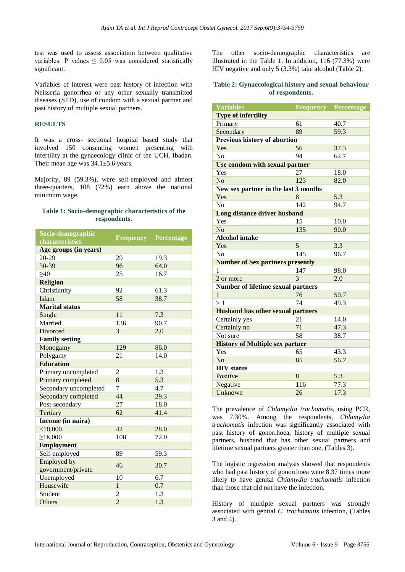test was used to assess association between qualitative variables. P values  $\leq$  0.05 was considered statistically significant.

Variables of interest were past history of infection with Neisseria gonorrhea or any other sexually transmitted diseases (STD), use of condom with a sexual partner and past history of multiple sexual partners.

# **RESULTS**

It was a cross- sectional hospital based study that involved 150 consenting women presenting with infertility at the gynaecology clinic of the UCH, Ibadan. Their mean age was 34.1±5.6 years.

Majority, 89 (59.3%), were self-employed and almost three-quarters, 108 (72%) earn above the national minimum wage.

## **Table 1: Socio-demographic characteristics of the respondents.**

| Socio-demographic     | <b>Frequency</b> | Percentage |  |
|-----------------------|------------------|------------|--|
| characteristics       |                  |            |  |
| Age groups (in years) |                  |            |  |
| 20-29                 | 29               | 19.3       |  |
| 30-39                 | 96               | 64.0       |  |
| $\geq 40$             | 25               | 16.7       |  |
| <b>Religion</b>       |                  |            |  |
| Christianity          | 92               | 61.3       |  |
| Islam                 | 58               | 38.7       |  |
| <b>Marital status</b> |                  |            |  |
| Single                | 11               | 7.3        |  |
| Married               | 136              | 90.7       |  |
| Divorced              | 3                | 2.0        |  |
| <b>Family setting</b> |                  |            |  |
| Monogamy              | 129              | 86.0       |  |
| Polygamy              | 21               | 14.0       |  |
| <b>Education</b>      |                  |            |  |
| Primary uncompleted   | 2                | 1.3        |  |
| Primary completed     | 8                | 5.3        |  |
| Secondary uncompleted | 7                | 4.7        |  |
| Secondary completed   | 44               | 29.3       |  |
| Post-secondary        | 27               | 18.0       |  |
| Tertiary              | 62               | 41.4       |  |
| Income (in naira)     |                  |            |  |
| < 18,000              | 42               | 28.0       |  |
| $\geq$ 18,000         | 108              | 72.0       |  |
| <b>Employment</b>     |                  |            |  |
| Self-employed         | 89               | 59.3       |  |
| <b>Employed</b> by    | 46               | 30.7       |  |
| government/private    |                  |            |  |
| Unemployed            | 10               | 6.7        |  |
| Housewife             | $\mathbf{1}$     | 0.7        |  |
| Student               | $\overline{2}$   | 1.3        |  |
| Others                | $\overline{c}$   | 1.3        |  |

The other socio-demographic characteristics are illustrated in the Table 1. In addition, 116 (77.3%) were HIV negative and only 5 (3.3%) take alcohol (Table 2).

## **Table 2: Gynaecological history and sexual behaviour of respondents.**

| <b>Variables</b>                          | <b>Frequency</b> | Percentage |  |  |  |  |
|-------------------------------------------|------------------|------------|--|--|--|--|
| <b>Type of infertility</b>                |                  |            |  |  |  |  |
| Primary                                   | 61               | 40.7       |  |  |  |  |
| Secondary                                 | 89               | 59.3       |  |  |  |  |
| Previous history of abortion              |                  |            |  |  |  |  |
| Yes                                       | 56<br>37.3       |            |  |  |  |  |
| N <sub>o</sub>                            | 94               | 62.7       |  |  |  |  |
| Use condom with sexual partner            |                  |            |  |  |  |  |
| Yes                                       | 27               | 18.0       |  |  |  |  |
| No                                        | 123              | 82.0       |  |  |  |  |
| New sex partner in the last 3 months      |                  |            |  |  |  |  |
| Yes                                       | 8                | 5.3        |  |  |  |  |
| N <sub>0</sub>                            | 142              | 94.7       |  |  |  |  |
| Long distance driver husband              |                  |            |  |  |  |  |
| Yes                                       | 15               | 10.0       |  |  |  |  |
| No                                        | 135              | 90.0       |  |  |  |  |
| <b>Alcohol intake</b>                     |                  |            |  |  |  |  |
| Yes                                       | 5                | 3.3        |  |  |  |  |
| No                                        | 145              | 96.7       |  |  |  |  |
| <b>Number of Sex partners presently</b>   |                  |            |  |  |  |  |
| 1                                         | 147              | 98.0       |  |  |  |  |
| 2 or more                                 | 3                | 2.0        |  |  |  |  |
| <b>Number of lifetime sexual partners</b> |                  |            |  |  |  |  |
| 1                                         | 76               | 50.7       |  |  |  |  |
| >1                                        | 74               | 49.3       |  |  |  |  |
| <b>Husband has other sexual partners</b>  |                  |            |  |  |  |  |
| Certainly yes                             | 21               | 14.0       |  |  |  |  |
| Certainly no                              | 71               | 47.3       |  |  |  |  |
| Not sure                                  | 58               | 38.7       |  |  |  |  |
| <b>History of Multiple sex partner</b>    |                  |            |  |  |  |  |
| Yes                                       | 65               | 43.3       |  |  |  |  |
| N <sub>o</sub>                            | 85               | 56.7       |  |  |  |  |
| <b>HIV</b> status                         |                  |            |  |  |  |  |
| Positive                                  | 8                | 5.3        |  |  |  |  |
| Negative                                  | 116              | 77.3       |  |  |  |  |
| Unknown                                   | 26               | 17.3       |  |  |  |  |

The prevalence of *Chlamydia trachomatis*, using PCR, was 7.30%. Among the respondents, *Chlamydia trachomatis* infection was significantly associated with past history of gonorrhoea, history of multiple sexual partners, husband that has other sexual partners and lifetime sexual partners greater than one, (Tables 3).

The logistic regression analysis showed that respondents who had past history of gonorrhoea were 8.37 times more likely to have genital *Chlamydia trachomatis* infection than those that did not have the infection.

History of multiple sexual partners was strongly associated with genital *C. trachomatis* infection, (Tables 3 and 4).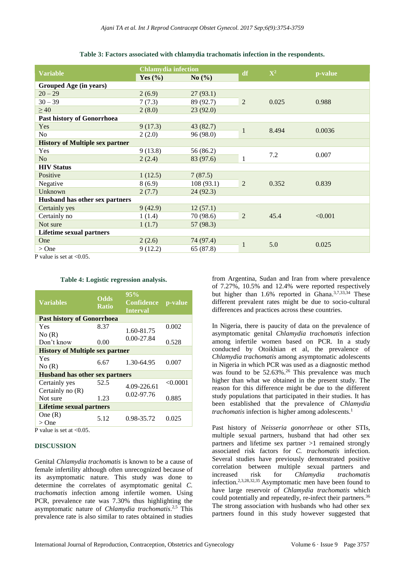| <b>Chlamydia infection</b> |            |                |       |                       |
|----------------------------|------------|----------------|-------|-----------------------|
| Yes $(\% )$                | No $(\% )$ |                |       | p-value               |
|                            |            |                |       |                       |
| 2(6.9)                     | 27(93.1)   |                | 0.025 | 0.988                 |
| 7(7.3)                     | 89 (92.7)  | $\overline{2}$ |       |                       |
| 2(8.0)                     | 23(92.0)   |                |       |                       |
|                            |            |                |       |                       |
| 9(17.3)                    | 43(82.7)   | $\mathbf{1}$   | 8.494 | 0.0036                |
|                            | 96(98.0)   |                |       |                       |
|                            |            |                |       |                       |
| 9(13.8)                    | 56 (86.2)  |                | 7.2   | 0.007                 |
| 2(2.4)                     | 83 (97.6)  | 1              |       |                       |
|                            |            |                |       |                       |
| 1(12.5)                    | 7(87.5)    |                | 0.352 | 0.839                 |
| 8(6.9)                     | 108(93.1)  | 2              |       |                       |
| 2(7.7)                     |            |                |       |                       |
|                            |            |                |       |                       |
| 9(42.9)                    | 12(57.1)   | $\overline{2}$ | 45.4  | < 0.001               |
| 1(1.4)                     | 70 (98.6)  |                |       |                       |
| 1(1.7)                     | 57 (98.3)  |                |       |                       |
|                            |            |                |       |                       |
| 2(2.6)                     | 74 (97.4)  | 1              |       | 0.025                 |
| 9(12.2)                    | 65 (87.8)  |                |       |                       |
|                            | 2(2.0)     | 24(92.3)       | df    | $\mathbf{X}^2$<br>5.0 |

**Table 3: Factors associated with chlamydia trachomatis infection in the respondents.**

P value is set at  $\langle 0.05$ .

#### **Table 4: Logistic regression analysis.**

| <b>Odds</b><br><b>Ratio</b>            | 95%<br>Confidence<br><b>Interval</b> | p-value                                                                                   |  |  |  |  |
|----------------------------------------|--------------------------------------|-------------------------------------------------------------------------------------------|--|--|--|--|
| <b>Past history of Gonorrhoea</b>      |                                      |                                                                                           |  |  |  |  |
| 8.37                                   |                                      | 0.002                                                                                     |  |  |  |  |
|                                        |                                      |                                                                                           |  |  |  |  |
| 0.00                                   |                                      | 0.528                                                                                     |  |  |  |  |
| <b>History of Multiple sex partner</b> |                                      |                                                                                           |  |  |  |  |
|                                        |                                      |                                                                                           |  |  |  |  |
|                                        |                                      | 0.007                                                                                     |  |  |  |  |
| <b>Husband has other sex partners</b>  |                                      |                                                                                           |  |  |  |  |
| 52.5                                   |                                      | < 0.0001                                                                                  |  |  |  |  |
|                                        |                                      |                                                                                           |  |  |  |  |
| 1.23                                   |                                      | 0.885                                                                                     |  |  |  |  |
| <b>Lifetime sexual partners</b>        |                                      |                                                                                           |  |  |  |  |
|                                        |                                      |                                                                                           |  |  |  |  |
|                                        |                                      | 0.025                                                                                     |  |  |  |  |
|                                        | 6.67<br>5.12                         | 1.60-81.75<br>$0.00 - 27.84$<br>1.30-64.95<br>4.09-226.61<br>$0.02 - 97.76$<br>0.98-35.72 |  |  |  |  |

P value is set at <0.05.

#### **DISCUSSION**

Genital *Chlamydia trachomatis* is known to be a cause of female infertility although often unrecognized because of its asymptomatic nature. This study was done to determine the correlates of asymptomatic genital *C. trachomatis* infection among infertile women. Using PCR, prevalence rate was 7.30% thus highlighting the asymptomatic nature of *Chlamydia trachomatis*. 2,5 This prevalence rate is also similar to rates obtained in studies from Argentina, Sudan and Iran from where prevalence of 7.27%, 10.5% and 12.4% were reported respectively but higher than 1.6% reported in Ghana.<sup>3,7,33,34</sup> These different prevalent rates might be due to socio-cultural differences and practices across these countries.

In Nigeria, there is paucity of data on the prevalence of asymptomatic genital *Chlamydia trachomatis* infection among infertile women based on PCR*.* In a study conducted by Otoikhian et al, the prevalence of *Chlamydia trachomatis* among asymptomatic adolescents in Nigeria in which PCR was used as a diagnostic method was found to be 52.63%. <sup>26</sup> This prevalence was much higher than what we obtained in the present study. The reason for this difference might be due to the different study populations that participated in their studies. It has been established that the prevalence of *Chlamydia trachomatis* infection is higher among adolescents. 1

Past history of *Neisseria gonorrheae* or other STIs, multiple sexual partners, husband that had other sex partners and lifetime sex partner >1 remained strongly associated risk factors for *C. trachomatis* infection. Several studies have previously demonstrated positive correlation between multiple sexual partners and increased risk for *Chlamydia trachomatis* infection.2,3,28,32,35 Asymptomatic men have been found to have large reservoir of *Chlamydia trachomatis* which could potentially and repeatedly, re-infect their partners.<sup>36</sup> The strong association with husbands who had other sex partners found in this study however suggested that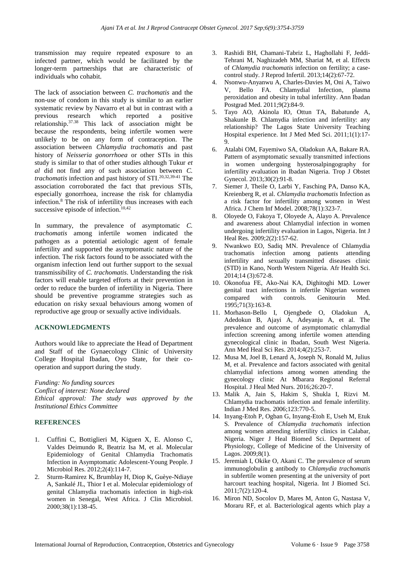transmission may require repeated exposure to an infected partner, which would be facilitated by the longer-term partnerships that are characteristic of individuals who cohabit.

The lack of association between *C. trachomatis* and the non-use of condom in this study is similar to an earlier systematic review by Navarro et al but in contrast with a previous research which reported a positive relationship. 37.38 This lack of association might be because the respondents, being infertile women were unlikely to be on any form of contraception. The association between *Chlamydia trachomatis* and past history of *Neisseria gonorrhoea* or other STIs in this study is similar to that of other studies although Tukur *et al* did not find any of such association between *C. trachomatis* infection and past history of STI. 20,32,39-41 The association corroborated the fact that previous STIs, especially gonorrhoea, increase the risk for chlamydia infection. <sup>8</sup> The risk of infertility thus increases with each successive episode of infection. 10,42

In summary, the prevalence of asymptomatic *C. trachomatis* among infertile women indicated the pathogen as a potential aetiologic agent of female infertility and supported the asymptomatic nature of the infection. The risk factors found to be associated with the organism infection lend out further support to the sexual transmissibility of *C. trachomatis*. Understanding the risk factors will enable targeted efforts at their prevention in order to reduce the burden of infertility in Nigeria. There should be preventive programme strategies such as education on risky sexual behaviours among women of reproductive age group or sexually active individuals.

# **ACKNOWLEDGMENTS**

Authors would like to appreciate the Head of Department and Staff of the Gynaecology Clinic of University College Hospital Ibadan, Oyo State, for their cooperation and support during the study.

*Funding: No funding sources Conflict of interest: None declared Ethical approval: The study was approved by the Institutional Ethics Committee*

# **REFERENCES**

- 1. Cuffini C, Bottiglieri M, Kiguen X, E. Alonso C, Valdes Deimundo R, Beatriz Isa M, et al. Molecular Epidemiology of Genital Chlamydia Trachomatis Infection in Asymptomatic Adolescent-Young People. J Microbiol Res. 2012;2(4):114-7.
- 2. Sturm-Ramirez K, Brumblay H, Diop K, Guèye-Ndiaye A, Sankalé JL, Thior I et al. Molecular epidemiology of genital Chlamydia trachomatis infection in high-risk women in Senegal, West Africa. J Clin Microbiol. 2000;38(1):138-45.
- 3. Rashidi BH, Chamani-Tabriz L, Haghollahi F, Jeddi-Tehrani M, Naghizadeh MM, Shariat M, et al. Effects of *Chlamydia trachomatis* infection on fertility; a casecontrol study. J Reprod Infertil. 2013;14(2):67-72.
- 4. Nsonwu-Anyanwu A, Charles-Davies M, Oni A, Taiwo V, Bello FA. Chlamydial Infection, plasma peroxidation and obesity in tubal infertility. Ann Ibadan Postgrad Med. 2011;9(2):84-9.
- 5. Tayo AO, Akinola IO, Ottun TA, Babatunde A, Shakunle B. Chlamydia infection and infertility: any relationship? The Lagos State University Teaching Hospital experience. Int J Med Med Sci. 2011;1(1):17- 9.
- 6. Atalabi OM, Fayemiwo SA, Oladokun AA, Bakare RA. Pattern of asymptomatic sexually transmitted infections in women undergoing hysterosalpingography for infertility evaluation in Ibadan Nigeria. Trop J Obstet Gynecol. 2013;30(2):91-8.
- 7. Siemer J, Theile O, Larbi Y, Fasching PA, Danso KA, Kreienberg R, et al. *Chlamydia trachomatis* Infection as a risk factor for infertility among women in West Africa. J Chem Inf Model. 2008;78(1):323-7.
- 8. Oloyede O, Fakoya T, Oloyede A, Alayo A. Prevalence and awareness about Chlamydial infection in women undergoing infertility evaluation in Lagos, Nigeria. Int J Heal Res. 2009;2(2):157-62.
- 9. Nwankwo EO, Sadiq MN. Prevalence of Chlamydia trachomatis infection among patients attending infertility and sexually transmitted diseases clinic (STD) in Kano, North Western Nigeria. Afr Health Sci. 2014;14 (3):672-8.
- 10. Okonofua FE, Ako-Nai KA, Dighitoghi MD. Lower genital tract infections in infertile Nigerian women compared with controls. Genitourin Med. 1995;71(3):163-8.
- 11. Morhason-Bello I, Ojengbede O, Oladokun A, Adedokun B, Ajayi A, Adeyanju A, et al. The prevalence and outcome of asymptomatic chlamydial infection screening among infertile women attending gynecological clinic in Ibadan, South West Nigeria. Ann Med Heal Sci Res. 2014;4(2):253-7.
- 12. Musa M, Joel B, Lenard A, Joseph N, Ronald M, Julius M, et al. Prevalence and factors associated with genital chlamydial infections among women attending the gynecology clinic At Mbarara Regional Referral Hospital. J Heal Med Nurs. 2016;26:20-7.
- 13. Malik A, Jain S, Hakim S, Shukla I, Rizvi M. Chlamydia trachomatis infection and female infertility. Indian J Med Res. 2006;123:770-5.
- 14. Inyang-Etoh P, Ogban G, Inyang-Etoh E, Useh M, Etuk S. Prevalence of *Chlamydia trachomatis* infection among women attending infertility clinics in Calabar, Nigeria. Niger J Heal Biomed Sci. Department of Physiology, College of Medicine of the University of Lagos. 2009;8(1).
- 15. Jeremiah I, Okike O, Akani C. The prevalence of serum immunoglobulin g antibody to *Chlamydia trachomatis* in subfertile women presenting at the university of port harcourt teaching hospital, Nigeria. Int J Biomed Sci. 2011;7(2):120-4.
- 16. Miron ND, Socolov D, Mares M, Anton G, Nastasa V, Moraru RF, et al. Bacteriological agents which play a